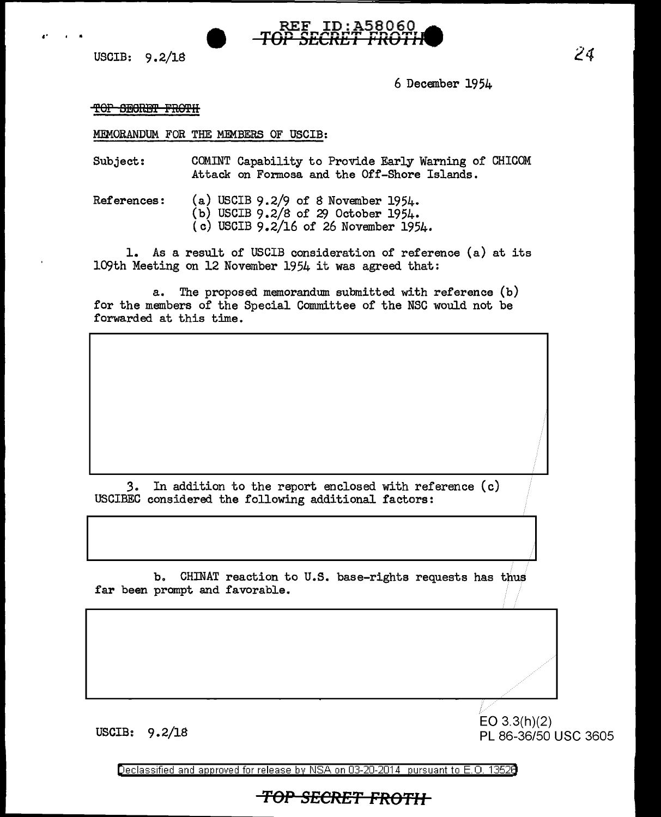



6 December 1954

TOP SECRET FROTH

MEMORANDUM FOR THE MEMBERS OF USCIB:

Subject: COMINT Capability to Provide Early Warning of CHICOM Attack on Formosa and the Off-Shore Islands.

References: (a) USCIB 9.2/9 of 8 November 1954.

- (b) USCIB  $9.2/8$  of 29 October 1954.
- (c) USCIB 9.2/16 of 26 November 1954.

1. As a result of USCIB consideration of reference (a) at its 109th Meeting on 12 November 1954 it was agreed that:

a. The proposed memorandum. submitted with reference (b) for the members of the Special Committee of the NSC would not be forwarded at this time.

*3.* In addition to the report enclosed with reference (c) USCIBEC considered the following additional factors:

b. CHINAT reaction to U.S. base-rights requests has thus far been prompt and favorable.

*Ci//*  EO 3.3(h)(2) USCIB: 9.2/18 PL 86-36/50 USC 3605

*.///* 

Declassified and approved for release by NSA on 03-20-2014 pursuant to E. 0. 1352B

**TOP SECRET FROTH**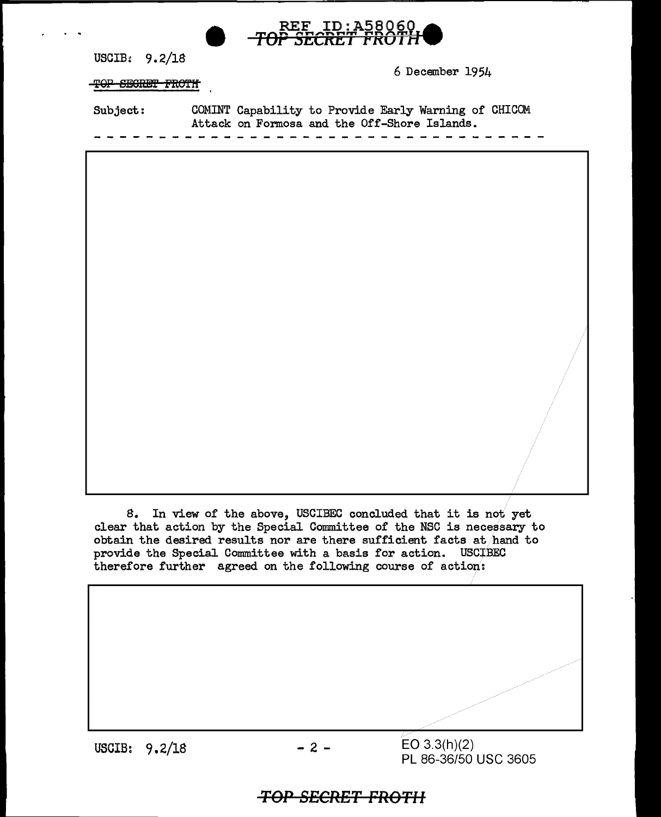| ID:A58060<br>$\mathbf{REF}$         |                                                                                                      |  |  |  |  |  |
|-------------------------------------|------------------------------------------------------------------------------------------------------|--|--|--|--|--|
| USCIB: $9.2/18$<br>TOP SEGRET FROTH | 6 December 1954                                                                                      |  |  |  |  |  |
| Subject:                            | COMINT Capability to Provide Early Warning of CHICOM<br>Attack on Formosa and the Off-Shore Islands. |  |  |  |  |  |
|                                     |                                                                                                      |  |  |  |  |  |
|                                     |                                                                                                      |  |  |  |  |  |
|                                     |                                                                                                      |  |  |  |  |  |
|                                     |                                                                                                      |  |  |  |  |  |
|                                     |                                                                                                      |  |  |  |  |  |
|                                     |                                                                                                      |  |  |  |  |  |
| 8.                                  | In view of the above, USCIBEC concluded that it is not yet                                           |  |  |  |  |  |

clear that action by the Special Committee of the NSC is necessary to obtain the desired results nor are there sufficient facts at hand to provide the Special Committee with a basis for action. USCIBEC therefore further agreed on the following course of action:

USCIB: 9.2/18

 $EO 3.3(h)(2)$ PL 86-36/50 USC 3605

## *TOP SECRET FROTII*